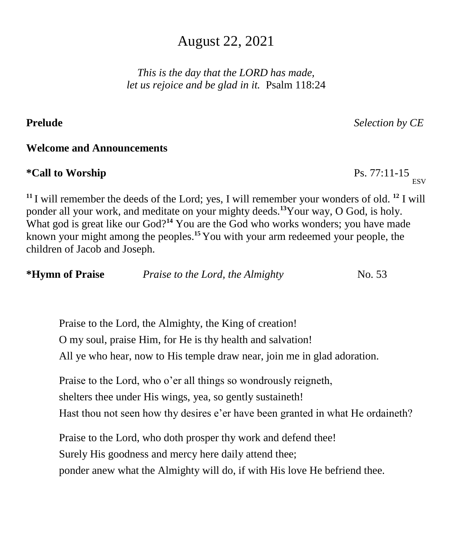# August 22, 2021

*This is the day that the LORD has made, let us rejoice and be glad in it.* Psalm 118:24

# **Prelude** *Selection by CE*

# **Welcome and Announcements**

# **\*Call to Worship** Ps. 77:11-15

**<sup>11</sup>** I will remember the deeds of the Lord; yes, I will remember your wonders of old. **<sup>12</sup>** I will ponder all your work, and meditate on your mighty deeds.**<sup>13</sup>**Your way, O God, is holy. What god is great like our God?<sup>14</sup> You are the God who works wonders; you have made known your might among the peoples.**<sup>15</sup>** You with your arm redeemed your people, the children of Jacob and Joseph.

| *Hymn of Praise | Praise to the Lord, the Almighty | No. 53 |
|-----------------|----------------------------------|--------|
|                 |                                  |        |

Praise to the Lord, the Almighty, the King of creation! O my soul, praise Him, for He is thy health and salvation! All ye who hear, now to His temple draw near, join me in glad adoration.

Praise to the Lord, who o'er all things so wondrously reigneth, shelters thee under His wings, yea, so gently sustaineth! Hast thou not seen how thy desires e'er have been granted in what He ordaineth?

Praise to the Lord, who doth prosper thy work and defend thee! Surely His goodness and mercy here daily attend thee; ponder anew what the Almighty will do, if with His love He befriend thee.

**ESV**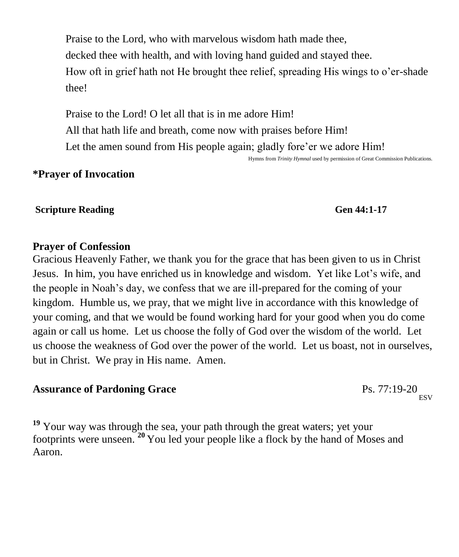Praise to the Lord, who with marvelous wisdom hath made thee, decked thee with health, and with loving hand guided and stayed thee. How oft in grief hath not He brought thee relief, spreading His wings to o'er-shade thee!

Praise to the Lord! O let all that is in me adore Him! All that hath life and breath, come now with praises before Him! Let the amen sound from His people again; gladly fore'er we adore Him!

Hymns from *Trinity Hymnal* used by permission of Great Commission Publications.

# **\*Prayer of Invocation**

# **Scripture Reading Gen 44:1-17**

# **Prayer of Confession**

Gracious Heavenly Father, we thank you for the grace that has been given to us in Christ Jesus. In him, you have enriched us in knowledge and wisdom. Yet like Lot's wife, and the people in Noah's day, we confess that we are ill-prepared for the coming of your kingdom. Humble us, we pray, that we might live in accordance with this knowledge of your coming, and that we would be found working hard for your good when you do come again or call us home. Let us choose the folly of God over the wisdom of the world. Let us choose the weakness of God over the power of the world. Let us boast, not in ourselves, but in Christ. We pray in His name. Amen.

# **Assurance of Pardoning Grace** Ps. 77:19-20

<sup>19</sup> Your way was through the sea, your path through the great waters; yet your footprints were unseen. **<sup>20</sup>** You led your people like a flock by the hand of Moses and Aaron.

**ESV**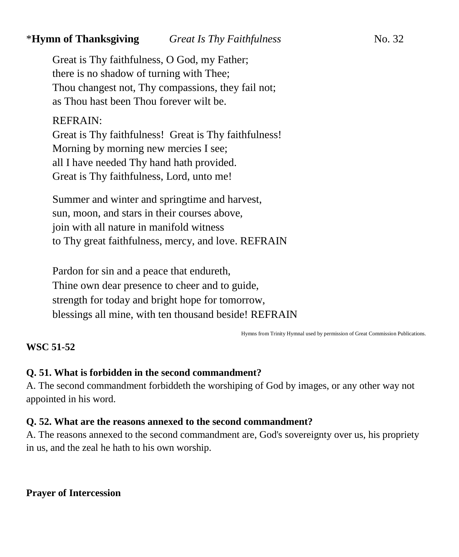# \***Hymn of Thanksgiving** *Great Is Thy Faithfulness* No. 32

Great is Thy faithfulness, O God, my Father; there is no shadow of turning with Thee; Thou changest not, Thy compassions, they fail not; as Thou hast been Thou forever wilt be.

# REFRAIN:

Great is Thy faithfulness! Great is Thy faithfulness! Morning by morning new mercies I see; all I have needed Thy hand hath provided. Great is Thy faithfulness, Lord, unto me!

Summer and winter and springtime and harvest, sun, moon, and stars in their courses above, join with all nature in manifold witness to Thy great faithfulness, mercy, and love. REFRAIN

Pardon for sin and a peace that endureth, Thine own dear presence to cheer and to guide, strength for today and bright hope for tomorrow, blessings all mine, with ten thousand beside! REFRAIN

Hymns from Trinity Hymnal used by permission of Great Commission Publications.

## **WSC 51-52**

# **Q. 51. What is forbidden in the second commandment?**

A. The second commandment forbiddeth the worshiping of God by images, or any other way not appointed in his word.

## **Q. 52. What are the reasons annexed to the second commandment?**

A. The reasons annexed to the second commandment are, God's sovereignty over us, his propriety in us, and the zeal he hath to his own worship.

**Prayer of Intercession**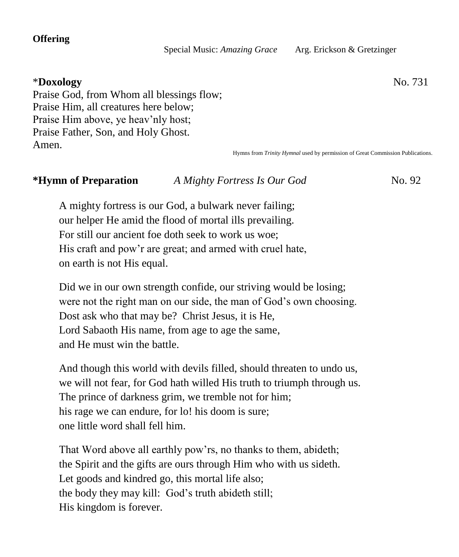### **Offering**

Special Music: *Amazing Grace* Arg. Erickson & Gretzinger

# \***Doxology** No. 731

Praise God, from Whom all blessings flow; Praise Him, all creatures here below; Praise Him above, ye heav'nly host; Praise Father, Son, and Holy Ghost. Amen.

Hymns from *Trinity Hymnal* used by permission of Great Commission Publications.

# **\*Hymn of Preparation** *A Mighty Fortress Is Our God* No. 92

A mighty fortress is our God, a bulwark never failing; our helper He amid the flood of mortal ills prevailing. For still our ancient foe doth seek to work us woe; His craft and pow'r are great; and armed with cruel hate, on earth is not His equal.

Did we in our own strength confide, our striving would be losing; were not the right man on our side, the man of God's own choosing. Dost ask who that may be? Christ Jesus, it is He, Lord Sabaoth His name, from age to age the same, and He must win the battle.

And though this world with devils filled, should threaten to undo us, we will not fear, for God hath willed His truth to triumph through us. The prince of darkness grim, we tremble not for him; his rage we can endure, for lo! his doom is sure; one little word shall fell him.

That Word above all earthly pow'rs, no thanks to them, abideth; the Spirit and the gifts are ours through Him who with us sideth. Let goods and kindred go, this mortal life also; the body they may kill: God's truth abideth still; His kingdom is forever.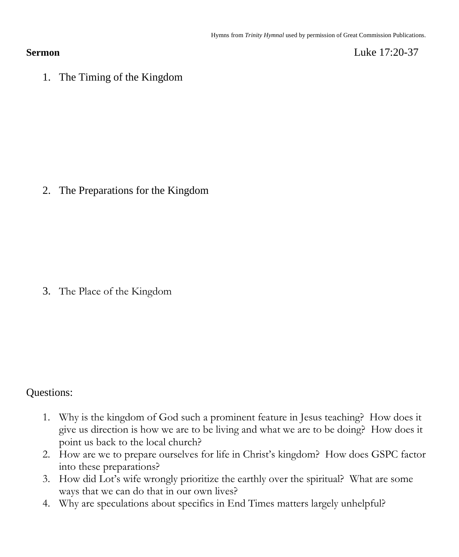**Sermon** Luke 17:20-37

1. The Timing of the Kingdom

2. The Preparations for the Kingdom

3. The Place of the Kingdom

# Questions:

- 1. Why is the kingdom of God such a prominent feature in Jesus teaching? How does it give us direction is how we are to be living and what we are to be doing? How does it point us back to the local church?
- 2. How are we to prepare ourselves for life in Christ's kingdom? How does GSPC factor into these preparations?
- 3. How did Lot's wife wrongly prioritize the earthly over the spiritual? What are some ways that we can do that in our own lives?
- 4. Why are speculations about specifics in End Times matters largely unhelpful?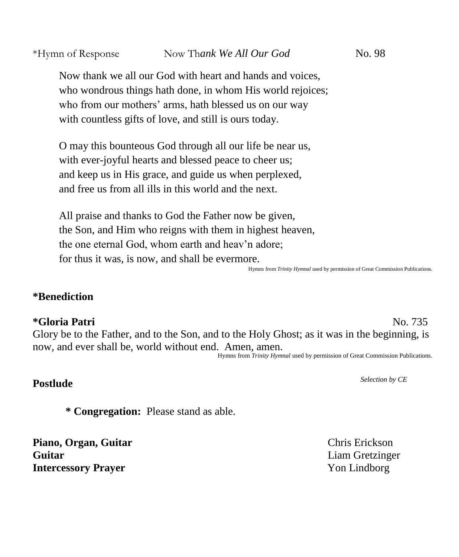Now thank we all our God with heart and hands and voices, who wondrous things hath done, in whom His world rejoices; who from our mothers' arms, hath blessed us on our way with countless gifts of love, and still is ours today.

O may this bounteous God through all our life be near us, with ever-joyful hearts and blessed peace to cheer us; and keep us in His grace, and guide us when perplexed, and free us from all ills in this world and the next.

All praise and thanks to God the Father now be given, the Son, and Him who reigns with them in highest heaven, the one eternal God, whom earth and heav'n adore; for thus it was, is now, and shall be evermore.

Hymns from *Trinity Hymnal* used by permission of Great Commission Publications.

# **\*Benediction**

# **\*Gloria Patri** No. 735

Glory be to the Father, and to the Son, and to the Holy Ghost; as it was in the beginning, is now, and ever shall be, world without end. Amen, amen.

Hymns from *Trinity Hymnal* used by permission of Great Commission Publications.

# **Postlude** *Selection by CE*

**\* Congregation:** Please stand as able.

**Piano, Organ, Guitar** Chris Erickson **Guitar** Liam Gretzinger **Intercessory Prayer** Non-Lindborg **Yon Lindborg**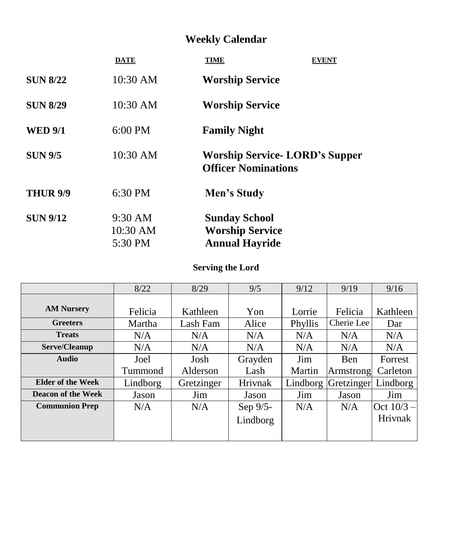# **Weekly Calendar**

|                 | <b>DATE</b>                    | <b>TIME</b><br><b>EVENT</b>                                             |
|-----------------|--------------------------------|-------------------------------------------------------------------------|
| <b>SUN 8/22</b> | 10:30 AM                       | <b>Worship Service</b>                                                  |
| <b>SUN 8/29</b> | 10:30 AM                       | <b>Worship Service</b>                                                  |
| <b>WED 9/1</b>  | $6:00$ PM                      | <b>Family Night</b>                                                     |
| <b>SUN 9/5</b>  | 10:30 AM                       | <b>Worship Service-LORD's Supper</b><br><b>Officer Nominations</b>      |
| <b>THUR 9/9</b> | 6:30 PM                        | Men's Study                                                             |
| <b>SUN 9/12</b> | 9:30 AM<br>10:30 AM<br>5:30 PM | <b>Sunday School</b><br><b>Worship Service</b><br><b>Annual Hayride</b> |
|                 |                                |                                                                         |

# **Serving the Lord**

|                           | 8/22     | 8/29       | 9/5            | 9/12     | 9/19        | 9/16         |
|---------------------------|----------|------------|----------------|----------|-------------|--------------|
|                           |          |            |                |          |             |              |
| <b>AM Nursery</b>         | Felicia  | Kathleen   | Yon            | Lorrie   | Felicia     | Kathleen     |
| <b>Greeters</b>           | Martha   | Lash Fam   | Alice          | Phyllis  | Cherie Lee  | Dar          |
| <b>Treats</b>             | N/A      | N/A        | N/A            | N/A      | N/A         | N/A          |
| Serve/Cleanup             | N/A      | N/A        | N/A            | N/A      | N/A         | N/A          |
| <b>Audio</b>              | Joel     | Josh       | Grayden        | Jim      | <b>B</b> en | Forrest      |
|                           | Tummond  | Alderson   | Lash           | Martin   | Armstrong   | Carleton     |
| <b>Elder of the Week</b>  | Lindborg | Gretzinger | <b>Hrivnak</b> | Lindborg | Gretzinger  | Lindborg     |
| <b>Deacon of the Week</b> | Jason    | Jim        | Jason          | Jim      | Jason       | Jim          |
| <b>Communion Prep</b>     | N/A      | N/A        | Sep 9/5-       | N/A      | N/A         | Oct $10/3 -$ |
|                           |          |            | Lindborg       |          |             | Hrivnak      |
|                           |          |            |                |          |             |              |